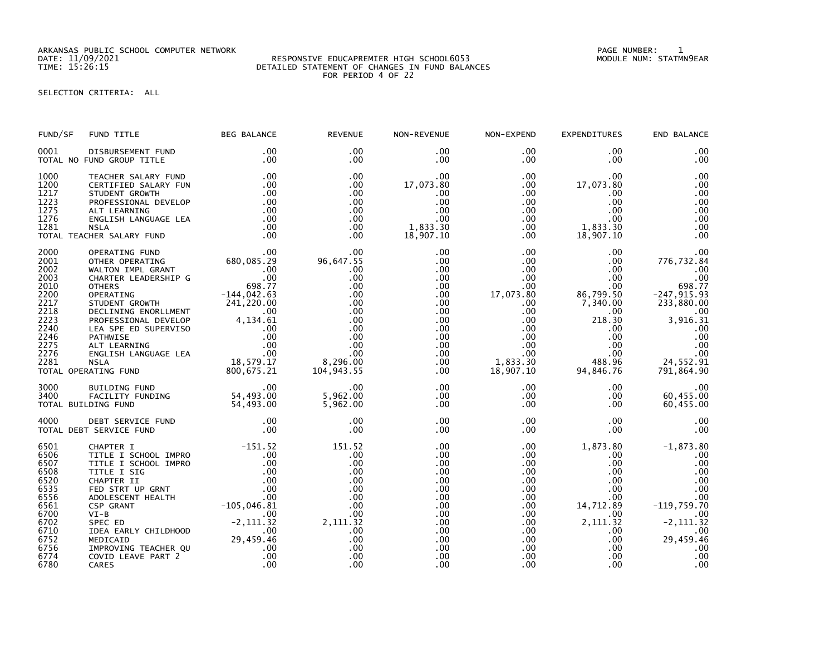ARKANSAS PUBLIC SCHOOL COMPUTER NETWORK PAGE NUMBER: 1

## DATE: 11/09/2021 RESPONSIVE EDUCAPREMIER HIGH SCHOOL6053 MODULE NUM: STATMN9EAR TIME: 15:26:15 DETAILED STATEMENT OF CHANGES IN FUND BALANCES FOR PERIOD 4 OF 22

SELECTION CRITERIA: ALL

| FUND/SF                                                                                                              | FUND TITLE                                                                                                                                                                                                                                                                                                                                                                       | <b>BEG BALANCE</b>                                                                                                                                     | <b>REVENUE</b>                                                                                                          | NON-REVENUE                                                                                                                                                       | NON-EXPEND                                                                                                                                                                    | <b>EXPENDITURES</b>                                                                                                                                                            | END BALANCE                                                                                                                                         |
|----------------------------------------------------------------------------------------------------------------------|----------------------------------------------------------------------------------------------------------------------------------------------------------------------------------------------------------------------------------------------------------------------------------------------------------------------------------------------------------------------------------|--------------------------------------------------------------------------------------------------------------------------------------------------------|-------------------------------------------------------------------------------------------------------------------------|-------------------------------------------------------------------------------------------------------------------------------------------------------------------|-------------------------------------------------------------------------------------------------------------------------------------------------------------------------------|--------------------------------------------------------------------------------------------------------------------------------------------------------------------------------|-----------------------------------------------------------------------------------------------------------------------------------------------------|
| 0001                                                                                                                 | DISBURSEMENT FUND<br>TOTAL NO FUND GROUP TITLE                                                                                                                                                                                                                                                                                                                                   | .00<br>.00                                                                                                                                             | .00<br>$.00 \,$                                                                                                         | $.00 \,$<br>.00                                                                                                                                                   | $.00 \,$<br>.00                                                                                                                                                               | .00<br>$.00 \times$                                                                                                                                                            | .00<br>.00                                                                                                                                          |
| 1000<br>1200<br>1217<br>1223<br>1275<br>1276<br>1281                                                                 | TEACHER SALARY FUND<br>CERTIFIED SALARY FUN<br>STUDENT GROWTH<br>PROFESSIONAL DEVELOP<br>ALT LEARNING<br>ENGLISH LANGUAGE LEA<br><b>NSLA</b><br>TOTAL TEACHER SALARY FUND                                                                                                                                                                                                        | .00<br>.00<br>.00<br>.00<br>.00<br>.00<br>.00<br>.00                                                                                                   | .00<br>.00<br>.00<br>.00<br>$.00 \,$<br>$.00 \,$<br>$.00 \,$<br>$.00 \ \,$                                              | $.00 \,$<br>17,073.80<br>.00<br>.00<br>.00<br>.00<br>1,833.30<br>18,907.10                                                                                        | $.00 \,$<br>$.00 \,$<br>.00<br>$.00 \,$<br>$.00 \cdot$<br>.00<br>$.00 \,$<br>$.00 \,$                                                                                         | .00<br>17,073.80<br>.00<br>.00<br>.00.<br>.00<br>1,833.30<br>18,907.10                                                                                                         | .00<br>.00<br>.00<br>.00<br>.00<br>.00<br>.00<br>.00                                                                                                |
| 2000<br>2001<br>2002<br>2003<br>2010<br>2200<br>2217<br>2218<br>2223<br>2240<br>2246<br>2275<br>2276<br>2281         | OPERATING FUND<br>OTHER OPERATING<br>WALTON IMPL GRANT<br>CHARTER LEADERSHIP G<br><b>OTHERS</b><br>OTHERS<br>OPERATING 5TUDENT GROWTH<br>STUDENT GROWTH 241,220.00<br>DECLINING ENORLMENT 0.00<br>PROFESSIONAL DEVELOP 4,134.61<br>PROFESSIONAL DEVELOP 4,134.61<br>PATHWISE .00<br>PATHWISE .00<br>PATHWISE .00<br>PATHWISE .00<br>ALT LEARNING .00<br><br>TOTAL OPERATING FUND |                                                                                                                                                        | .00<br>96,647.55<br>.00<br>.00<br>.00<br>.00<br>.00<br>.00<br>.00<br>.00<br>.00<br>.00<br>.00<br>8,296.00<br>104,943.55 | .00<br>.00<br>$.00 \,$<br>$.00 \,$<br>$.00 \,$<br>.00<br>$.00 \,$<br>$.00 \,$<br>$.00 \,$<br>$.00 \,$<br>$.00 \,$<br>$.00 \,$<br>$.00 \,$<br>$.00 \,$<br>$.00 \,$ | $.00 \,$<br>$.00 \,$<br>$.00 \,$<br>$.00 \,$<br>$.00 \,$<br>17,073.80<br>$.00 \,$<br>$.00 \,$<br>.00<br>$.00 \,$<br>$.00 \,$<br>$.00 \,$<br>$.00 \,$<br>1,833.30<br>18,907.10 | $.00 \,$<br>$.00 \,$<br>$.00 \,$<br>$.00 \,$<br>$.00 \,$<br>86,799.50<br>7,340.00<br>$.00 \,$<br>218.30<br>$.00 \,$<br>$.00 \,$<br>$.00 \,$<br>$.00 \,$<br>488.96<br>94,846.76 | .00<br>776,732.84<br>.00<br>.00<br>698.77<br>$-247, 915.93$<br>233,880.00<br>.00<br>3,916.31<br>.00<br>.00<br>.00<br>.00<br>24,552.91<br>791,864.90 |
| 3000<br>3400                                                                                                         | BUILDING FUND<br>FACILITY FUNDING<br>TOTAL BUILDING FUND                                                                                                                                                                                                                                                                                                                         | 00.<br>10. 54, 493 DING<br>54, 493 DO                                                                                                                  | .00<br>5,962.00<br>5,962.00                                                                                             | $.00 \,$<br>$.00 \,$<br>$.00 \,$                                                                                                                                  | $.00 \,$<br>$.00 \,$<br>$.00 \,$                                                                                                                                              | $.00 \,$<br>$.00 \,$<br>$.00 \,$                                                                                                                                               | .00<br>60,455.00<br>60,455.00                                                                                                                       |
| 4000                                                                                                                 | DEBT SERVICE FUND<br>TOTAL DEBT SERVICE FUND                                                                                                                                                                                                                                                                                                                                     | .00<br>.00                                                                                                                                             | .00<br>.00                                                                                                              | .00<br>.00                                                                                                                                                        | $.00 \,$<br>$.00 \,$                                                                                                                                                          | .00<br>$.00 \,$                                                                                                                                                                | .00<br>.00                                                                                                                                          |
| 6501<br>6506<br>6507<br>6508<br>6520<br>6535<br>6556<br>6561<br>6700<br>6702<br>6710<br>6752<br>6756<br>6774<br>6780 | CHAPTER I<br>TITLE I SCHOOL IMPRO<br>TITLE I SCHOOL IMPRO<br>TITLE I SIG<br>CHAPTER II<br>FED STRT UP GRNT<br>ADOLESCENT HEALTH<br>CSP GRANT<br>$VI-B$<br>SPEC ED<br>IDEA EARLY CHILDHOOD<br>MEDICAID<br>IMPROVING TEACHER QU<br>COVID LEAVE PART 2<br>CARES                                                                                                                     | $-151.52$<br>.00<br>.00<br>.00<br>.00<br>.00<br>.00<br>$-105,046.81$<br>$.00 \,$<br>$-2, 111.32$<br>.00<br>00 .<br>46 .459 ,49 29<br>.00<br>.00<br>.00 | 151.52<br>.00<br>.00<br>.00<br>.00<br>.00<br>.00<br>.00<br>.00<br>2,111.32<br>.00<br>.00<br>.00<br>.00<br>.00           | $.00 \,$<br>$.00 \,$<br>.00<br>.00<br>.00<br>.00<br>.00<br>$.00 \,$<br>.00<br>.00<br>.00<br>$.00 \,$<br>.00<br>.00<br>.00                                         | $.00 \,$<br>$.00 \,$<br>$.00 \,$<br>$.00 \,$<br>$.00 \,$<br>$.00 \,$<br>$.00 \,$<br>$.00 \,$<br>$.00 \,$<br>$.00 \,$<br>$.00 \,$<br>$.00 \,$<br>$.00 \,$<br>$.00 \,$<br>.00   | 1,873.80<br>.00<br>$.00 \times$<br>$.00 \,$<br>.00<br>.00<br>.00<br>14,712.89<br>.00.<br>2,111.32<br>$.00 \,$<br>$.00 \times$<br>$.00 \,$<br>$.00 \,$<br>.00                   | $-1,873.80$<br>.00<br>.00<br>.00<br>.00<br>.00<br>.00<br>$-119,759.70$<br>.00<br>$-2, 111.32$<br>.00<br>29,459.46<br>.00<br>.00<br>.00              |